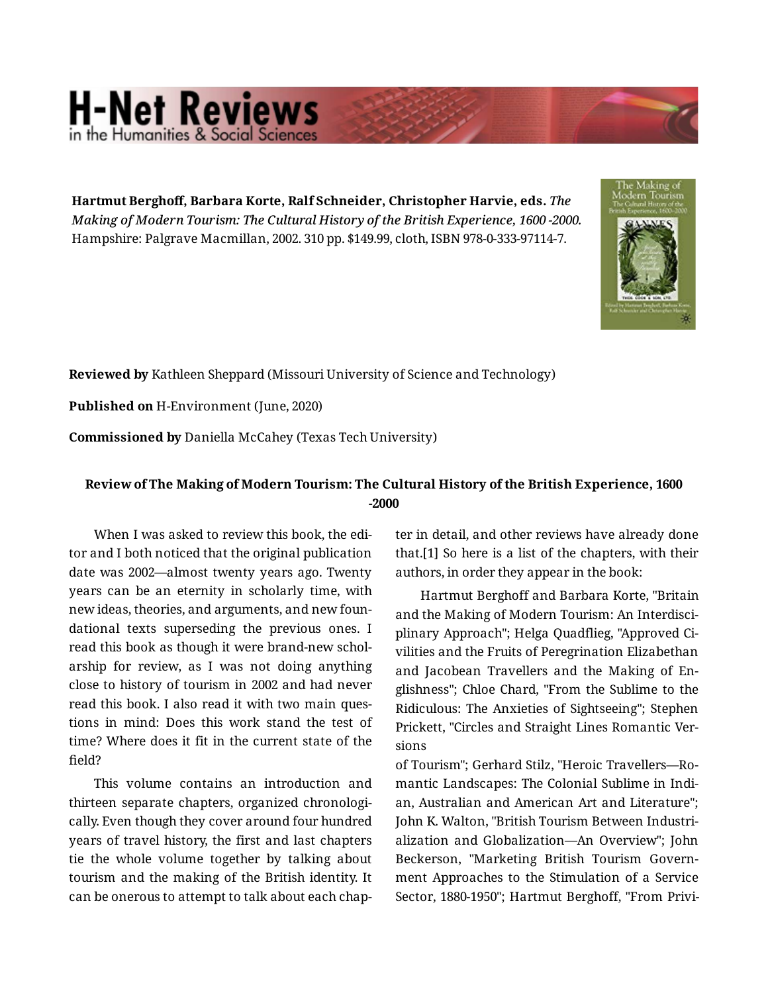## **H-Net Reviews**

**Hartmut Berghoff, Barbara Korte, Ralf Schneider, Christopher Harvie, eds.** *The Making of Modern Tourism: The Cultural History of the British Experience, 1600 -2000.*  Hampshire: Palgrave Macmillan, 2002. 310 pp. \$149.99, cloth, ISBN 978-0-333-97114-7.



**Reviewed by** Kathleen Sheppard (Missouri University of Science and Technology)

**Published on** H-Environment (June, 2020)

**Commissioned by** Daniella McCahey (Texas Tech University)

## **Review of The Making of Modern Tourism: The Cultural History of the British Experience, 1600 -2000**

When I was asked to review this book, the edi‐ tor and I both noticed that the original publication date was 2002—almost twenty years ago. Twenty years can be an eternity in scholarly time, with new ideas, theories, and arguments, and new foun‐ dational texts superseding the previous ones. I read this book as though it were brand-new schol‐ arship for review, as I was not doing anything close to history of tourism in 2002 and had never read this book. I also read it with two main ques‐ tions in mind: Does this work stand the test of time? Where does it fit in the current state of the field?

This volume contains an introduction and thirteen separate chapters, organized chronologi‐ cally. Even though they cover around four hundred years of travel history, the first and last chapters tie the whole volume together by talking about tourism and the making of the British identity. It can be onerous to attempt to talk about each chap‐

ter in detail, and other reviews have already done that.[1] So here is a list of the chapters, with their authors, in order they appear in the book:

Hartmut Berghoff and Barbara Korte, "Britain and the Making of Modern Tourism: An Interdisci‐ plinary Approach"; Helga Quadflieg, "Approved Ci‐ vilities and the Fruits of Peregrination Elizabethan and Jacobean Travellers and the Making of En‐ glishness"; Chloe Chard, "From the Sublime to the Ridiculous: The Anxieties of Sightseeing"; Stephen Prickett, "Circles and Straight Lines Romantic Ver‐ sions

of Tourism"; Gerhard Stilz, "Heroic Travellers—Ro‐ mantic Landscapes: The Colonial Sublime in Indi‐ an, Australian and American Art and Literature"; John K. Walton, "British Tourism Between Industri‐ alization and Globalization—An Overview"; John Beckerson, "Marketing British Tourism Govern‐ ment Approaches to the Stimulation of a Service Sector, 1880-1950"; Hartmut Berghoff, "From Privi‐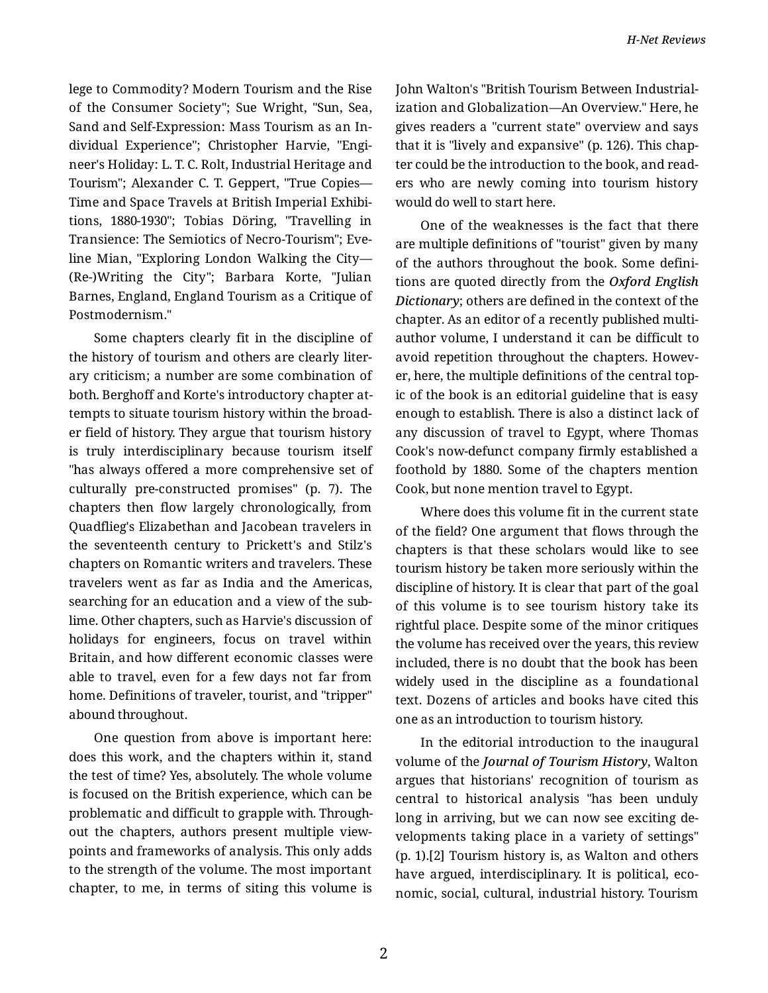lege to Commodity? Modern Tourism and the Rise of the Consumer Society"; Sue Wright, "Sun, Sea, Sand and Self-Expression: Mass Tourism as an In‐ dividual Experience"; Christopher Harvie, "Engi‐ neer's Holiday: L. T. C. Rolt, Industrial Heritage and Tourism"; Alexander C. T. Geppert, "True Copies— Time and Space Travels at British Imperial Exhibi‐ tions, 1880-1930"; Tobias Döring, "Travelling in Transience: The Semiotics of Necro-Tourism"; Eve‐ line Mian, "Exploring London Walking the City— (Re-)Writing the City"; Barbara Korte, "Julian Barnes, England, England Tourism as a Critique of Postmodernism."

Some chapters clearly fit in the discipline of the history of tourism and others are clearly liter‐ ary criticism; a number are some combination of both. Berghoff and Korte's introductory chapter at‐ tempts to situate tourism history within the broad‐ er field of history. They argue that tourism history is truly interdisciplinary because tourism itself "has always offered a more comprehensive set of culturally pre-constructed promises" (p. 7). The chapters then flow largely chronologically, from Quadflieg's Elizabethan and Jacobean travelers in the seventeenth century to Prickett's and Stilz's chapters on Romantic writers and travelers. These travelers went as far as India and the Americas, searching for an education and a view of the sub‐ lime. Other chapters, such as Harvie's discussion of holidays for engineers, focus on travel within Britain, and how different economic classes were able to travel, even for a few days not far from home. Definitions of traveler, tourist, and "tripper" abound throughout.

One question from above is important here: does this work, and the chapters within it, stand the test of time? Yes, absolutely. The whole volume is focused on the British experience, which can be problematic and difficult to grapple with. Through‐ out the chapters, authors present multiple viewpoints and frameworks of analysis. This only adds to the strength of the volume. The most important chapter, to me, in terms of siting this volume is

John Walton's "British Tourism Between Industrial‐ ization and Globalization—An Overview." Here, he gives readers a "current state" overview and says that it is "lively and expansive" (p. 126). This chap‐ ter could be the introduction to the book, and read‐ ers who are newly coming into tourism history would do well to start here.

One of the weaknesses is the fact that there are multiple definitions of "tourist" given by many of the authors throughout the book. Some defini‐ tions are quoted directly from the *Oxford English Dictionary*; others are defined in the context of the chapter. As an editor of a recently published multi‐ author volume, I understand it can be difficult to avoid repetition throughout the chapters. Howev‐ er, here, the multiple definitions of the central top‐ ic of the book is an editorial guideline that is easy enough to establish. There is also a distinct lack of any discussion of travel to Egypt, where Thomas Cook's now-defunct company firmly established a foothold by 1880. Some of the chapters mention Cook, but none mention travel to Egypt.

Where does this volume fit in the current state of the field? One argument that flows through the chapters is that these scholars would like to see tourism history be taken more seriously within the discipline of history. It is clear that part of the goal of this volume is to see tourism history take its rightful place. Despite some of the minor critiques the volume has received over the years, this review included, there is no doubt that the book has been widely used in the discipline as a foundational text. Dozens of articles and books have cited this one as an introduction to tourism history.

In the editorial introduction to the inaugural volume of the *Journal of Tourism History*, Walton argues that historians' recognition of tourism as central to historical analysis "has been unduly long in arriving, but we can now see exciting de‐ velopments taking place in a variety of settings" (p. 1).[2] Tourism history is, as Walton and others have argued, interdisciplinary. It is political, eco‐ nomic, social, cultural, industrial history. Tourism